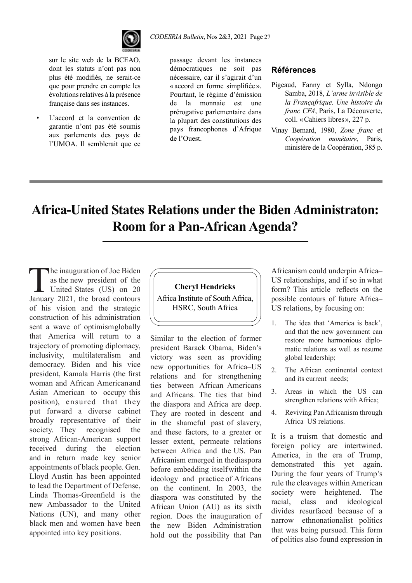

sur le site web de la BCEAO, dont les statuts n'ont pas non plus été modifiés, ne serait-ce que pour prendre en compte les évolutions relatives à la présence française dans ses instances.

L'accord et la convention de garantie n'ont pas été soumis aux parlements des pays de l'UMOA. Il semblerait que ce

*CODESRIA Bulletin*, Nos 2&3, 2021 Page 27

passage devant les instances démocratiques ne soit pas nécessaire, car il s'agirait d'un «accord en forme simplifiée». Pourtant, le régime d'émission de la monnaie est une prérogative parlementaire dans la plupart des constitutions des pays francophones d'Afrique de l'Ouest.

#### **Références**

- Pigeaud, Fanny et Sylla, Ndongo Samba, 2018, *L'arme invisible de la Françafrique. Une histoire du franc CFA*, Paris, La Découverte, coll. «Cahiers libres», 227 p.
- Vinay Bernard, 1980, *Zone franc* et *Coopération monétaire*, Paris, ministère de la Coopération, 385 p.

# **Africa-United States Relations under the Biden Administraton: Room for a Pan-African Agenda?**

The inauguration of Joe Biden<br>as the new president of the<br>United States (US) on 20<br>January 2021, the broad contours as the new president of the United States (US) on 20 January 2021, the broad contours of his vision and the strategic construction of his administration sent a wave of optimism globally that America will return to a trajectory of promoting diplomacy, inclusivity, multilateralism and democracy. Biden and his vice president, Kamala Harris (the first woman and African American and Asian American to occupy this position), ensured that they put forward a diverse cabinet broadly representative of their society. They recognised the strong African-American support teceived during the election and in return made key senior appointments of black people. Gen. Lloyd Austin has been appointed to lead the Department of Defense, Linda Thomas-Greenfield is the new Ambassador to the United Nations (UN), and many other black men and women have been appointed into key positions.



Similar to the election of former president Barack Obama, Biden's victory was seen as providing new opportunities for Africa–US relations and for strengthening ties between African Americans and Africans. The ties that bind the diaspora and Africa are deep. They are rooted in descent and in the shameful past of slavery, and these factors, to a greater or lesser extent, permeate relations between Africa and the US. Pan Africanism emerged in the diaspora before embedding itself within the ideology and practice of Africans on the continent. In 2003, the diaspora was constituted by the African Union (AU) as its sixth region. Does the inauguration of the new Biden Administration hold out the possibility that Pan

Africanism could underpin Africa– US relationships, and if so in what form? This article reflects on the possible contours of future Africa– US relations, by focusing on:

- 1. The idea that 'America is back', and that the new government can restore more harmonious diplomatic relations as well as resume global leadership;
- 2. The African continental context and its current needs;
- 3. Areas in which the US can strengthen relations with Africa;
- 4. Reviving Pan Africanism through Africa–US relations.

It is a truism that domestic and foreign policy are intertwined. America, in the era of Trump, demonstrated this yet again. During the four years of Trump's rule the cleavages within American society were heightened. The racial, class and ideological divides resurfaced because of a narrow ethnonationalist politics that was being pursued. This form of politics also found expression in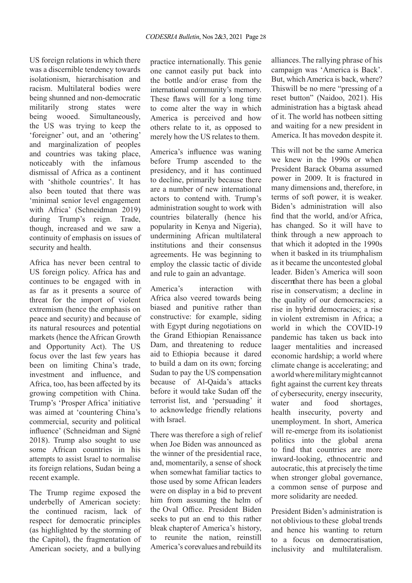US foreign relations in which there was a discernible tendency towards isolationism, hierarchisation and racism. Multilateral bodies were being shunned and non-democratic militarily strong states were being wooed. Simultaneously, the US was trying to keep the 'foreigner' out, and an 'othering' and marginalization of peoples and countries was taking place, noticeably with the infamous dismissal of Africa as a continent with 'shithole countries'. It has also been touted that there was 'minimal senior level engagement with Africa' (Schneidman 2019) during Trump's reign. Trade, though, increased and we saw a continuity of emphasis on issues of security and health.

Africa has never been central to US foreign policy. Africa has and continues to be engaged with in as far as it presents a source of threat for the import of violent extremism (hence the emphasis on peace and security) and because of its natural resources and potential markets (hence the African Growth and Opportunity Act). The US focus over the last few years has been on limiting China's trade, investment and influence, and Africa, too, has been affected by its growing competition with China. Trump's 'Prosper Africa' initiative was aimed at 'countering China's commercial, security and political influence' (Schneidman and Signé 2018). Trump also sought to use some African countries in his attempts to assist Israel to normalise its foreign relations, Sudan being a recent example.

The Trump regime exposed the underbelly of American society: the continued racism, lack of respect for democratic principles (as highlighted by the storming of the Capitol), the fragmentation of American society, and a bullying

practice internationally. This genie one cannot easily put back into the bottle and/or erase from the international community's memory. These flaws will for a long time to come alter the way in which America is perceived and how others relate to it, as opposed to merely how the US relates to them.

America's influence was waning before Trump ascended to the presidency, and it has continued to decline, primarily because there are a number of new international actors to contend with. Trump's administration sought to work with countries bilaterally (hence his popularity in Kenya and Nigeria), undermining African multilateral institutions and their consensus agreements. He was beginning to employ the classic tactic of divide and rule to gain an advantage.

America's interaction with Africa also veered towards being biased and punitive rather than constructive: for example, siding with Egypt during negotiations on the Grand Ethiopian Renaissance Dam, and threatening to reduce aid to Ethiopia because it dared to build a dam on its own; forcing Sudan to pay the US compensation because of Al-Qaida's attacks before it would take Sudan off the terrorist list, and 'persuading' it to acknowledge friendly relations with Israel.

There was therefore a sigh of relief when Joe Biden was announced as the winner of the presidential race, and, momentarily, a sense of shock when somewhat familiar tactics to those used by some African leaders were on display in a bid to prevent him from assuming the helm of the Oval Office. President Biden seeks to put an end to this rather bleak chapter of America's history, to reunite the nation, reinstill America's corevalues and rebuild its

alliances. The rallying phrase of his campaign was 'America is Back'. But, which America is back, where? This will be no mere "pressing of a reset button" (Naidoo, 2021). His administration has a big task ahead of it. The world has notbeen sitting and waiting for a new president in America. It has moved on despite it.

This will not be the same America we knew in the 1990s or when President Barack Obama assumed power in 2009. It is fractured in many dimensions and, therefore, in terms of soft power, it is weaker. Biden's administration will also find that the world, and/or Africa, has changed. So it will have to think through a new approach to that which it adopted in the 1990s when it basked in its triumphalism as it became the uncontested global leader. Biden's America will soon discern that there has been a global rise in conservatism; a decline in the quality of our democracies; a rise in hybrid democracies; a rise in violent extremism in Africa; a world in which the COVID-19 pandemic has taken us back into laager mentalities and increased economic hardship; a world where climate change is accelerating; and a world where military might cannot fight against the current key threats of cybersecurity, energy insecurity, water and food shortages, health insecurity, poverty and unemployment. In short, America will re-emerge from its isolationist politics into the global arena to find that countries are more inward-looking, ethnocentric and autocratic, this at precisely the time when stronger global governance, a common sense of purpose and more solidarity are needed.

President Biden's administration is not oblivious to these global trends and hence his wanting to return to a focus on democratisation, inclusivity and multilateralism.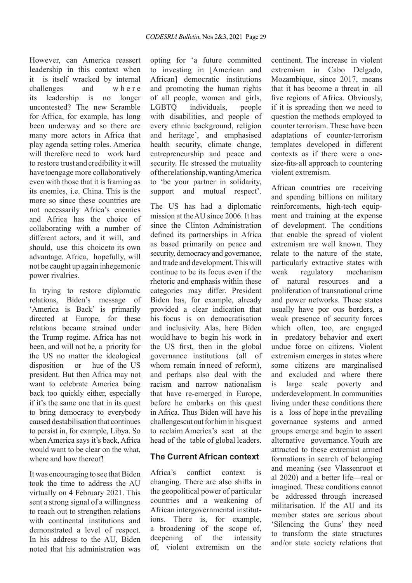However, can America reassert leadership in this context when it is itself wracked by internal challenges and where its leadership is no longer uncontested? The new Scramble for Africa, for example, has long been underway and so there are many more actors in Africa that play agenda setting roles. America will therefore need to work hard to restore trust and credibility it will have to engage more collaboratively even with those that it is framing as its enemies, i.e. China. This is the more so since these countries are not necessarily Africa's enemies and Africa has the choice of collaborating with a number of different actors, and it will, and should, use this choice to its own advantage. Africa, hopefully, will not be caught up again inhegemonic power rivalries.

In trying to restore diplomatic relations, Biden's message of 'America is Back' is primarily directed at Europe, for these relations became strained under the Trump regime. Africa has not been, and will not be, a priority for the US no matter the ideological disposition or hue of the US president. But then Africa may not want to celebrate America being back too quickly either, especially if it's the same one that in its quest to bring democracy to everybody caused destabilisation that continues to persist in, for example, Libya. So when America says it's back, Africa would want to be clear on the what, where and how thereof!

It was encouraging to see that Biden took the time to address the AU virtually on 4 February 2021. This sent a strong signal of a willingness to reach out to strengthen relations with continental institutions and demonstrated a level of respect. In his address to the AU, Biden noted that his administration was opting for 'a future committed to investing in [American and African] democratic institutions and promoting the human rights of all people, women and girls, LGBTQ individuals, people with disabilities, and people of every ethnic background, religion and heritage', and emphasised health security, climate change, entrepreneurship and peace and security. He stressed the mutuality of the relationship, wanting America to 'be your partner in solidarity, support and mutual respect'.

The US has had a diplomatic mission at the AU since 2006. It has since the Clinton Administration defined its partnerships in Africa as based primarily on peace and security, democracy and governance, and trade and development. This will continue to be its focus even if the rhetoric and emphasis within these categories may differ. President Biden has, for example, already provided a clear indication that his focus is on democratisation and inclusivity. Alas, here Biden would have to begin his work in the US first, then in the global governance institutions (all of whom remain in need of reform), and perhaps also deal with the racism and narrow nationalism that have re-emerged in Europe, before he embarks on this quest in Africa. Thus Biden will have his challenges cut out for him in his quest to reclaim America's seat at the head of the table of global leaders.

#### **The Current African context**

Africa's conflict context is changing. There are also shifts in the geopolitical power of particular countries and a weakening of African intergovernmental institutions. There is, for example, a broadening of the scope of, deepening of the intensity of, violent extremism on the

continent. The increase in violent extremism in Cabo Delgado, Mozambique, since 2017, means that it has become a threat in all five regions of Africa. Obviously, if it is spreading then we need to question the methods employed to counter terrorism. These have been adaptations of counter-terrorism templates developed in different contexts as if there were a onesize-fits-all approach to countering violent extremism.

African countries are receiving and spending billions on military reinforcements, high-tech equipment and training at the expense of development. The conditions that enable the spread of violent extremism are well known. They relate to the nature of the state, particularly extractive states with weak regulatory mechanism of natural resources and a proliferation of transnational crime and power networks. These states usually have por ous borders, a weak presence of security forces which often, too, are engaged in predatory behavior and exert undue force on citizens. Violent extremism emerges in states where some citizens are marginalised and excluded and where there is large scale poverty and underdevelopment. In communities living under these conditions there is a loss of hope in the prevailing governance systems and armed groups emerge and begin to assert alternative governance. Youth are attracted to these extremist armed formations in search of belonging and meaning (see Vlassenroot et al 2020) and a better life—real or imagined. These conditions cannot be addressed through increased militarisation. If the AU and its member states are serious about 'Silencing the Guns' they need to transform the state structures and/or state society relations that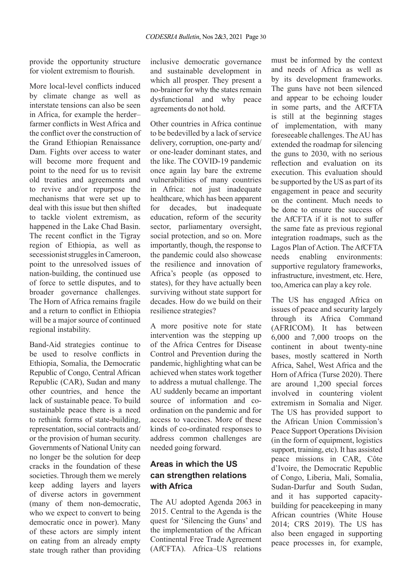provide the opportunity structure for violent extremism to flourish.

More local-level conflicts induced by climate change as well as interstate tensions can also be seen in Africa, for example the herder– farmer conflicts in West Africa and the conflict over the construction of the Grand Ethiopian Renaissance Dam. Fights over access to water will become more frequent and point to the need for us to revisit old treaties and agreements and to revive and/or repurpose the mechanisms that were set up to deal with this issue but then shifted to tackle violent extremism, as happened in the Lake Chad Basin. The recent conflict in the Tigray region of Ethiopia, as well as secessionist struggles in Cameroon, point to the unresolved issues of nation-building, the continued use of force to settle disputes, and to broader governance challenges. The Horn of Africa remains fragile and a return to conflict in Ethiopia will be a major source of continued regional instability.

Band-Aid strategies continue to be used to resolve conflicts in Ethiopia, Somalia, the Democratic Republic of Congo, Central African Republic (CAR), Sudan and many other countries, and hence the lack of sustainable peace. To build sustainable peace there is a need to rethink forms of state-building, representation, social contracts and/ or the provision of human security. Governments of National Unity can no longer be the solution for deep cracks in the foundation of these societies. Through them we merely keep adding layers and layers of diverse actors in government (many of them non-democratic, who we expect to convert to being democratic once in power). Many of these actors are simply intent on eating from an already empty state trough rather than providing

inclusive democratic governance and sustainable development in which all prosper. They present a no-brainer for why the states remain dysfunctional and why peace agreements do not hold.

Other countries in Africa continue to be bedevilled by a lack of service delivery, corruption, one-party and/ or one-leader dominant states, and the like. The COVID-19 pandemic once again lay bare the extreme vulnerabilities of many countries in Africa: not just inadequate healthcare, which has been apparent for decades, but inadequate education, reform of the security sector, parliamentary oversight, social protection, and so on. More importantly, though, the response to the pandemic could also showcase the resilience and innovation of Africa's people (as opposed to states), for they have actually been surviving without state support for decades. How do we build on their resilience strategies?

A more positive note for state intervention was the stepping up of the Africa Centres for Disease Control and Prevention during the pandemic, highlighting what can be achieved when states work together to address a mutual challenge. The AU suddenly became an important source of information and coordination on the pandemic and for access to vaccines. More of these kinds of co-ordinated responses to address common challenges are needed going forward.

### **Areas in which the US can strengthen relations with Africa**

The AU adopted Agenda 2063 in 2015. Central to the Agenda is the quest for 'Silencing the Guns' and the implementation of the African Continental Free Trade Agreement (AfCFTA). Africa–US relations

must be informed by the context and needs of Africa as well as by its development frameworks. The guns have not been silenced and appear to be echoing louder in some parts, and the AfCFTA is still at the beginning stages of implementation, with many foreseeable challenges. The AU has extended the roadmap for silencing the guns to 2030, with no serious reflection and evaluation on its execution. This evaluation should be supported by the US as part of its engagement in peace and security on the continent. Much needs to be done to ensure the success of the AfCFTA if it is not to suffer the same fate as previous regional integration roadmaps, such as the Lagos Plan of Action. The AfCFTA needs enabling environments: supportive regulatory frameworks, infrastructure, investment, etc. Here, too, America can play a key role.

The US has engaged Africa on issues of peace and security largely through its Africa Command (AFRICOM). It has between 6,000 and 7,000 troops on the continent in about twenty-nine bases, mostly scattered in North Africa, Sahel, West Africa and the Horn of Africa (Turse 2020). There are around 1,200 special forces involved in countering violent extremism in Somalia and Niger. The US has provided support to the African Union Commission's Peace Support Operations Division (in the form of equipment, logistics support, training, etc). It has assisted peace missions in CAR, Côte d'Ivoire, the Democratic Republic of Congo, Liberia, Mali, Somalia, Sudan-Darfur and South Sudan, and it has supported capacitybuilding for peacekeeping in many African countries (White House 2014; CRS 2019). The US has also been engaged in supporting peace processes in, for example,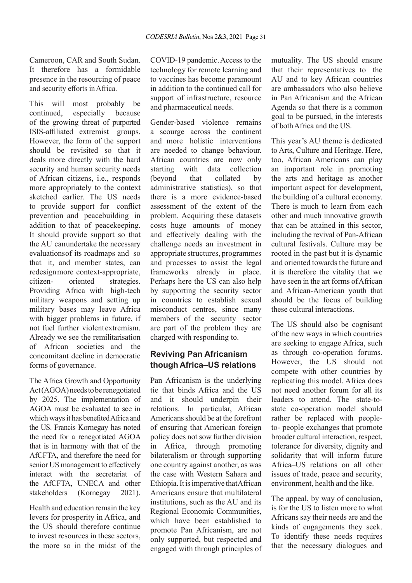Cameroon, CAR and South Sudan. It therefore has a formidable presence in the resourcing of peace and security efforts in Africa.

This will most probably be continued, especially because of the growing threat of purported ISIS-affiliated extremist groups. However, the form of the support should be revisited so that it deals more directly with the hard security and human security needs of African citizens, i.e., responds more appropriately to the context sketched earlier. The US needs to provide support for conflict prevention and peacebuilding in addition to that of peacekeeping. It should provide support so that the AU can undertake the necessary evaluations of its roadmaps and so that it, and member states, can redesign more context-appropriate, citizen- oriented strategies. Providing Africa with high-tech military weapons and setting up military bases may leave Africa with bigger problems in future, if not fuel further violent extremism. Already we see the remilitarisation of African societies and the concomitant decline in democratic forms of governance.

The Africa Growth and Opportunity Act (AGOA) needs to be renegotiated by 2025. The implementation of AGOA must be evaluated to see in which ways it has benefited Africa and the US. Francis Kornegay has noted the need for a renegotiated AGOA that is in harmony with that of the AfCFTA, and therefore the need for senior US management to effectively interact with the secretariat of the AfCFTA, UNECA and other stakeholders (Kornegay 2021).

Health and education remain the key levers for prosperity in Africa, and the US should therefore continue to invest resources in these sectors, the more so in the midst of the COVID-19 pandemic. Access to the technology for remote learning and to vaccines has become paramount in addition to the continued call for support of infrastructure, resource and pharmaceutical needs.

Gender-based violence remains a scourge across the continent and more holistic interventions are needed to change behaviour. African countries are now only starting with data collection (beyond that collated by administrative statistics), so that there is a more evidence-based assessment of the extent of the problem. Acquiring these datasets costs huge amounts of money and effectively dealing with the challenge needs an investment in appropriate structures, programmes and processes to assist the legal frameworks already in place. Perhaps here the US can also help by supporting the security sector in countries to establish sexual misconduct centres, since many members of the security sector are part of the problem they are charged with responding to.

## **Reviving Pan Africanism though Africa–US relations**

Pan Africanism is the underlying tie that binds Africa and the US and it should underpin their relations. In particular, African Americans should be at the forefront of ensuring that American foreign policy does not sow further division in Africa, through promoting bilateralism or through supporting one country against another, as was the case with Western Sahara and Ethiopia. It is imperative that African Americans ensure that multilateral institutions, such as the AU and its Regional Economic Communities, which have been established to promote Pan Africanism, are not only supported, but respected and engaged with through principles of mutuality. The US should ensure that their representatives to the AU and to key African countries are ambassadors who also believe in Pan Africanism and the African Agenda so that there is a common goal to be pursued, in the interests of both Africa and the US.

This year's AU theme is dedicated to Arts, Culture and Heritage. Here, too, African Americans can play an important role in promoting the arts and heritage as another important aspect for development, the building of a cultural economy. There is much to learn from each other and much innovative growth that can be attained in this sector, including the revival of Pan-African cultural festivals. Culture may be rooted in the past but it is dynamic and oriented towards the future and it is therefore the vitality that we have seen in the art forms of African and African-American youth that should be the focus of building these cultural interactions.

The US should also be cognisant of the new ways in which countries are seeking to engage Africa, such as through co-operation forums. However, the US should not compete with other countries by replicating this model. Africa does not need another forum for all its leaders to attend. The state-tostate co-operation model should rather be replaced with peopleto- people exchanges that promote broader cultural interaction, respect, tolerance for diversity, dignity and solidarity that will inform future Africa–US relations on all other issues of trade, peace and security, environment, health and the like.

The appeal, by way of conclusion, is for the US to listen more to what Africans say their needs are and the kinds of engagements they seek. To identify these needs requires that the necessary dialogues and